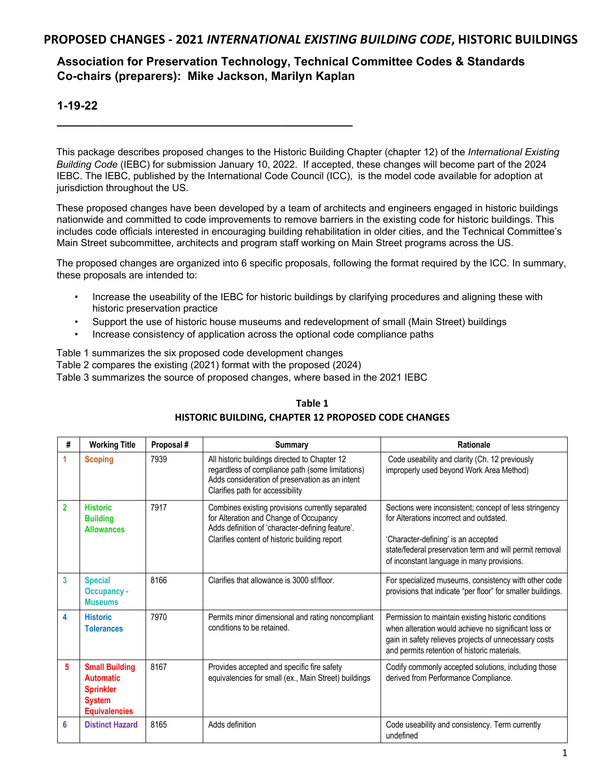# **Association for Preservation Technology, Technical Committee Codes & Standards Co-chairs (preparers): Mike Jackson, Marilyn Kaplan**

## **1-19-22**

This package describes proposed changes to the Historic Building Chapter (chapter 12) of the *International Existing Building Code* (IEBC) for submission January 10, 2022. If accepted, these changes will become part of the 2024 IEBC. The IEBC, published by the International Code Council (ICC), is the model code available for adoption at jurisdiction throughout the US.

These proposed changes have been developed by a team of architects and engineers engaged in historic buildings nationwide and committed to code improvements to remove barriers in the existing code for historic buildings. This includes code officials interested in encouraging building rehabilitation in older cities, and the Technical Committee's Main Street subcommittee, architects and program staff working on Main Street programs across the US.

The proposed changes are organized into 6 specific proposals, following the format required by the ICC. In summary, these proposals are intended to:

- Increase the useability of the IEBC for historic buildings by clarifying procedures and aligning these with historic preservation practice
- Support the use of historic house museums and redevelopment of small (Main Street) buildings
- Increase consistency of application across the optional code compliance paths

Table 1 summarizes the six proposed code development changes

Table 2 compares the existing (2021) format with the proposed (2024)

**\_\_\_\_\_\_\_\_\_\_\_\_\_\_\_\_\_\_\_\_\_\_\_\_\_\_\_\_\_\_\_\_\_\_\_\_\_\_\_\_\_\_\_\_\_** 

Table 3 summarizes the source of proposed changes, where based in the 2021 IEBC

| #              | <b>Working Title</b>                                                                                   | Proposal # | <b>Summary</b>                                                                                                                                                                                  | Rationale                                                                                                                                                                                                                                         |  |
|----------------|--------------------------------------------------------------------------------------------------------|------------|-------------------------------------------------------------------------------------------------------------------------------------------------------------------------------------------------|---------------------------------------------------------------------------------------------------------------------------------------------------------------------------------------------------------------------------------------------------|--|
|                | <b>Scoping</b>                                                                                         | 7939       | All historic buildings directed to Chapter 12<br>regardless of compliance path (some limitations)<br>Adds consideration of preservation as an intent<br>Clarifies path for accessibility        | Code useability and clarity (Ch. 12 previously<br>improperly used beyond Work Area Method)                                                                                                                                                        |  |
| $\overline{2}$ | <b>Historic</b><br><b>Building</b><br><b>Allowances</b>                                                | 7917       | Combines existing provisions currently separated<br>for Alteration and Change of Occupancy<br>Adds definition of 'character-defining feature'.<br>Clarifies content of historic building report | Sections were inconsistent; concept of less stringency<br>for Alterations incorrect and outdated.<br>'Character-defining' is an accepted<br>state/federal preservation term and will permit removal<br>of inconstant language in many provisions. |  |
| 3              | <b>Special</b><br><b>Occupancy -</b><br><b>Museums</b>                                                 | 8166       | Clarifies that allowance is 3000 sf/floor.                                                                                                                                                      | For specialized museums, consistency with other code<br>provisions that indicate "per floor" for smaller buildings.                                                                                                                               |  |
| 4              | <b>Historic</b><br><b>Tolerances</b>                                                                   | 7970       | Permits minor dimensional and rating noncompliant<br>conditions to be retained.                                                                                                                 | Permission to maintain existing historic conditions<br>when alteration would achieve no significant loss or<br>gain in safety relieves projects of unnecessary costs<br>and permits retention of historic materials.                              |  |
| 5              | <b>Small Building</b><br><b>Automatic</b><br><b>Sprinkler</b><br><b>System</b><br><b>Equivalencies</b> | 8167       | Provides accepted and specific fire safety<br>equivalencies for small (ex., Main Street) buildings                                                                                              | Codify commonly accepted solutions, including those<br>derived from Performance Compliance.                                                                                                                                                       |  |
| 6              | <b>Distinct Hazard</b>                                                                                 | 8165       | Adds definition                                                                                                                                                                                 | Code useability and consistency. Term currently<br>undefined                                                                                                                                                                                      |  |

## **Table 1 HISTORIC BUILDING, CHAPTER 12 PROPOSED CODE CHANGES**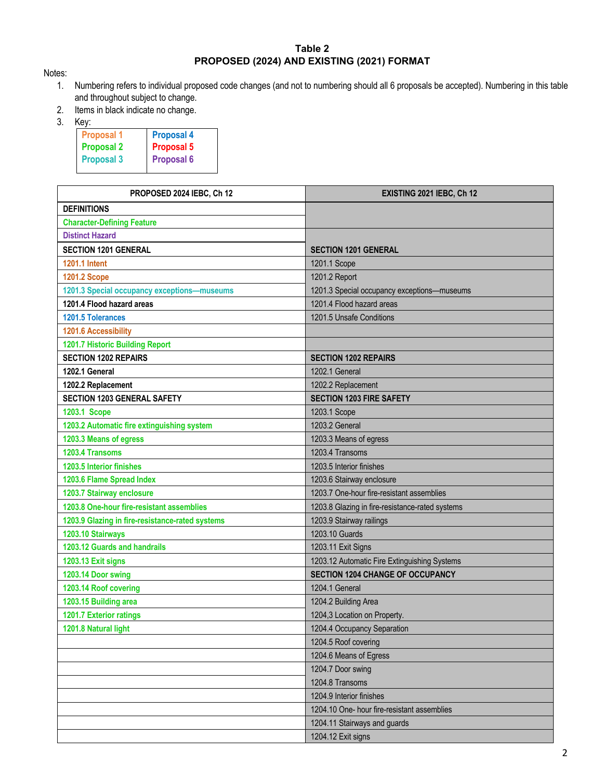## **Table 2 PROPOSED (2024) AND EXISTING (2021) FORMAT**

Notes:

- 1. Numbering refers to individual proposed code changes (and not to numbering should all 6 proposals be accepted). Numbering in this table and throughout subject to change.
- 2. Items in black indicate no change.
- 3. Key:

| w.                |                   |  |  |
|-------------------|-------------------|--|--|
| <b>Proposal 1</b> | <b>Proposal 4</b> |  |  |
| <b>Proposal 2</b> | <b>Proposal 5</b> |  |  |
| <b>Proposal 3</b> | <b>Proposal 6</b> |  |  |
|                   |                   |  |  |

| PROPOSED 2024 IEBC, Ch 12                       | EXISTING 2021 IEBC, Ch 12                       |  |  |
|-------------------------------------------------|-------------------------------------------------|--|--|
| <b>DEFINITIONS</b>                              |                                                 |  |  |
| <b>Character-Defining Feature</b>               |                                                 |  |  |
| <b>Distinct Hazard</b>                          |                                                 |  |  |
| <b>SECTION 1201 GENERAL</b>                     | <b>SECTION 1201 GENERAL</b>                     |  |  |
| <b>1201.1 Intent</b>                            | 1201.1 Scope                                    |  |  |
| <b>1201.2 Scope</b>                             | 1201.2 Report                                   |  |  |
| 1201.3 Special occupancy exceptions-museums     | 1201.3 Special occupancy exceptions-museums     |  |  |
| 1201.4 Flood hazard areas                       | 1201.4 Flood hazard areas                       |  |  |
| 1201.5 Tolerances                               | 1201.5 Unsafe Conditions                        |  |  |
| 1201.6 Accessibility                            |                                                 |  |  |
| 1201.7 Historic Building Report                 |                                                 |  |  |
| <b>SECTION 1202 REPAIRS</b>                     | <b>SECTION 1202 REPAIRS</b>                     |  |  |
| 1202.1 General                                  | 1202.1 General                                  |  |  |
| 1202.2 Replacement                              | 1202.2 Replacement                              |  |  |
| <b>SECTION 1203 GENERAL SAFETY</b>              | <b>SECTION 1203 FIRE SAFETY</b>                 |  |  |
| 1203.1 Scope                                    | 1203.1 Scope                                    |  |  |
| 1203.2 Automatic fire extinguishing system      | 1203.2 General                                  |  |  |
| 1203.3 Means of egress                          | 1203.3 Means of egress                          |  |  |
| 1203.4 Transoms                                 | 1203.4 Transoms                                 |  |  |
| 1203.5 Interior finishes                        | 1203.5 Interior finishes                        |  |  |
| 1203.6 Flame Spread Index                       | 1203.6 Stairway enclosure                       |  |  |
| 1203.7 Stairway enclosure                       | 1203.7 One-hour fire-resistant assemblies       |  |  |
| 1203.8 One-hour fire-resistant assemblies       | 1203.8 Glazing in fire-resistance-rated systems |  |  |
| 1203.9 Glazing in fire-resistance-rated systems | 1203.9 Stairway railings                        |  |  |
| 1203.10 Stairways                               | 1203.10 Guards                                  |  |  |
| 1203.12 Guards and handrails                    | 1203.11 Exit Signs                              |  |  |
| 1203.13 Exit signs                              | 1203.12 Automatic Fire Extinguishing Systems    |  |  |
| 1203.14 Door swing                              | SECTION 1204 CHANGE OF OCCUPANCY                |  |  |
| 1203.14 Roof covering                           | 1204.1 General                                  |  |  |
| 1203.15 Building area                           | 1204.2 Building Area                            |  |  |
| 1201.7 Exterior ratings                         | 1204,3 Location on Property.                    |  |  |
| 1201.8 Natural light                            | 1204.4 Occupancy Separation                     |  |  |
|                                                 | 1204.5 Roof covering                            |  |  |
|                                                 | 1204.6 Means of Egress                          |  |  |
|                                                 | 1204.7 Door swing                               |  |  |
|                                                 | 1204.8 Transoms                                 |  |  |
|                                                 | 1204.9 Interior finishes                        |  |  |
|                                                 | 1204.10 One- hour fire-resistant assemblies     |  |  |
|                                                 | 1204.11 Stairways and guards                    |  |  |
|                                                 | 1204.12 Exit signs                              |  |  |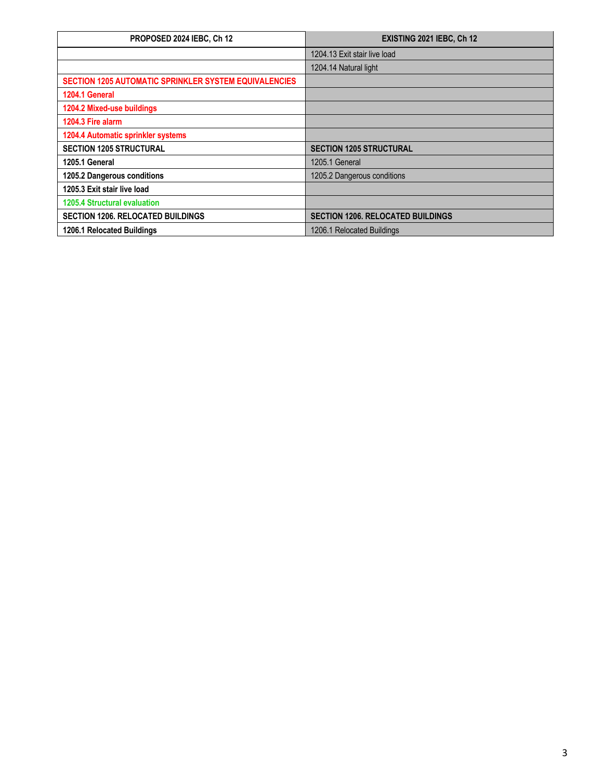| PROPOSED 2024 IEBC, Ch 12                                    | EXISTING 2021 IEBC, Ch 12                |  |
|--------------------------------------------------------------|------------------------------------------|--|
|                                                              | 1204.13 Exit stair live load             |  |
|                                                              | 1204.14 Natural light                    |  |
| <b>SECTION 1205 AUTOMATIC SPRINKLER SYSTEM EQUIVALENCIES</b> |                                          |  |
| 1204.1 General                                               |                                          |  |
| 1204.2 Mixed-use buildings                                   |                                          |  |
| 1204.3 Fire alarm                                            |                                          |  |
| 1204.4 Automatic sprinkler systems                           |                                          |  |
| <b>SECTION 1205 STRUCTURAL</b>                               | <b>SECTION 1205 STRUCTURAL</b>           |  |
| 1205.1 General                                               | 1205.1 General                           |  |
| 1205.2 Dangerous conditions                                  | 1205.2 Dangerous conditions              |  |
| 1205.3 Exit stair live load                                  |                                          |  |
| <b>1205.4 Structural evaluation</b>                          |                                          |  |
| <b>SECTION 1206, RELOCATED BUILDINGS</b>                     | <b>SECTION 1206, RELOCATED BUILDINGS</b> |  |
| 1206.1 Relocated Buildings                                   | 1206.1 Relocated Buildings               |  |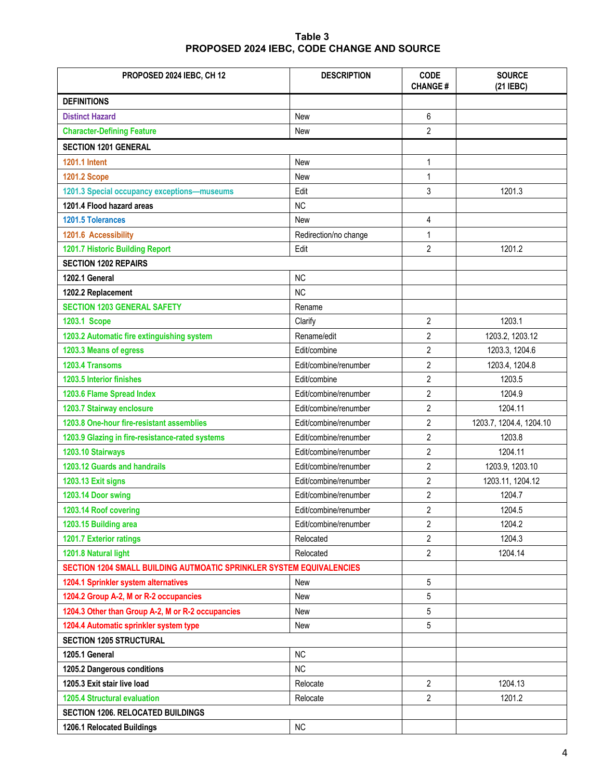## **Table 3 PROPOSED 2024 IEBC, CODE CHANGE AND SOURCE**

| PROPOSED 2024 IEBC, CH 12                                            | <b>DESCRIPTION</b>    | <b>CODE</b><br><b>CHANGE#</b> | <b>SOURCE</b><br>(21 IEBC) |  |  |  |
|----------------------------------------------------------------------|-----------------------|-------------------------------|----------------------------|--|--|--|
| <b>DEFINITIONS</b>                                                   |                       |                               |                            |  |  |  |
| <b>Distinct Hazard</b>                                               | New                   | 6                             |                            |  |  |  |
| <b>Character-Defining Feature</b>                                    | <b>New</b>            | $\overline{2}$                |                            |  |  |  |
| <b>SECTION 1201 GENERAL</b>                                          |                       |                               |                            |  |  |  |
| <b>1201.1 Intent</b>                                                 | <b>New</b>            | $\mathbf{1}$                  |                            |  |  |  |
| <b>1201.2 Scope</b>                                                  | New                   | $\mathbf{1}$                  |                            |  |  |  |
| 1201.3 Special occupancy exceptions-museums                          | Edit                  | 3                             | 1201.3                     |  |  |  |
| 1201.4 Flood hazard areas                                            | <b>NC</b>             |                               |                            |  |  |  |
| 1201.5 Tolerances                                                    | New                   | 4                             |                            |  |  |  |
| 1201.6 Accessibility                                                 | Redirection/no change | $\mathbf{1}$                  |                            |  |  |  |
| 1201.7 Historic Building Report                                      | Edit                  | $\overline{2}$                | 1201.2                     |  |  |  |
| <b>SECTION 1202 REPAIRS</b>                                          |                       |                               |                            |  |  |  |
| 1202.1 General                                                       | <b>NC</b>             |                               |                            |  |  |  |
| 1202.2 Replacement                                                   | <b>NC</b>             |                               |                            |  |  |  |
| <b>SECTION 1203 GENERAL SAFETY</b>                                   | Rename                |                               |                            |  |  |  |
| 1203.1 Scope                                                         | Clarify               | $\overline{2}$                | 1203.1                     |  |  |  |
| 1203.2 Automatic fire extinguishing system                           | Rename/edit           | $\overline{2}$                | 1203.2, 1203.12            |  |  |  |
| 1203.3 Means of egress                                               | Edit/combine          | $\overline{2}$                | 1203.3, 1204.6             |  |  |  |
| 1203.4 Transoms                                                      | Edit/combine/renumber | $\overline{2}$                | 1203.4, 1204.8             |  |  |  |
| 1203.5 Interior finishes                                             | Edit/combine          | $\overline{2}$                | 1203.5                     |  |  |  |
| 1203.6 Flame Spread Index                                            | Edit/combine/renumber | $\overline{c}$                | 1204.9                     |  |  |  |
| 1203.7 Stairway enclosure                                            | Edit/combine/renumber | 2                             | 1204.11                    |  |  |  |
| 1203.8 One-hour fire-resistant assemblies                            | Edit/combine/renumber | $\overline{c}$                | 1203.7, 1204.4, 1204.10    |  |  |  |
| 1203.9 Glazing in fire-resistance-rated systems                      | Edit/combine/renumber | 2                             | 1203.8                     |  |  |  |
| 1203.10 Stairways                                                    | Edit/combine/renumber | $\overline{c}$                | 1204.11                    |  |  |  |
| 1203.12 Guards and handrails                                         | Edit/combine/renumber | $\overline{2}$                | 1203.9, 1203.10            |  |  |  |
| 1203.13 Exit signs                                                   | Edit/combine/renumber | $\overline{\mathbf{c}}$       | 1203.11, 1204.12           |  |  |  |
| 1203.14 Door swing                                                   | Edit/combine/renumber | $\overline{2}$                | 1204.7                     |  |  |  |
| 1203.14 Roof covering                                                | Edit/combine/renumber | $\overline{\mathbf{c}}$       | 1204.5                     |  |  |  |
| 1203.15 Building area                                                | Edit/combine/renumber | 2                             | 1204.2                     |  |  |  |
| 1201.7 Exterior ratings                                              | Relocated             | $\overline{c}$                | 1204.3                     |  |  |  |
| 1201.8 Natural light                                                 | Relocated             | $\overline{c}$                | 1204.14                    |  |  |  |
| SECTION 1204 SMALL BUILDING AUTMOATIC SPRINKLER SYSTEM EQUIVALENCIES |                       |                               |                            |  |  |  |
| 1204.1 Sprinkler system alternatives                                 | New                   | 5                             |                            |  |  |  |
| 1204.2 Group A-2, M or R-2 occupancies                               | <b>New</b>            | 5                             |                            |  |  |  |
| 1204.3 Other than Group A-2, M or R-2 occupancies                    | New                   | 5                             |                            |  |  |  |
| 1204.4 Automatic sprinkler system type                               | <b>New</b>            | 5                             |                            |  |  |  |
| <b>SECTION 1205 STRUCTURAL</b>                                       |                       |                               |                            |  |  |  |
| 1205.1 General                                                       | <b>NC</b>             |                               |                            |  |  |  |
| 1205.2 Dangerous conditions                                          | <b>NC</b>             |                               |                            |  |  |  |
| 1205.3 Exit stair live load                                          | Relocate              | 2                             | 1204.13                    |  |  |  |
| <b>1205.4 Structural evaluation</b>                                  | Relocate              | 2                             | 1201.2                     |  |  |  |
| <b>SECTION 1206. RELOCATED BUILDINGS</b>                             |                       |                               |                            |  |  |  |
| 1206.1 Relocated Buildings                                           | <b>NC</b>             |                               |                            |  |  |  |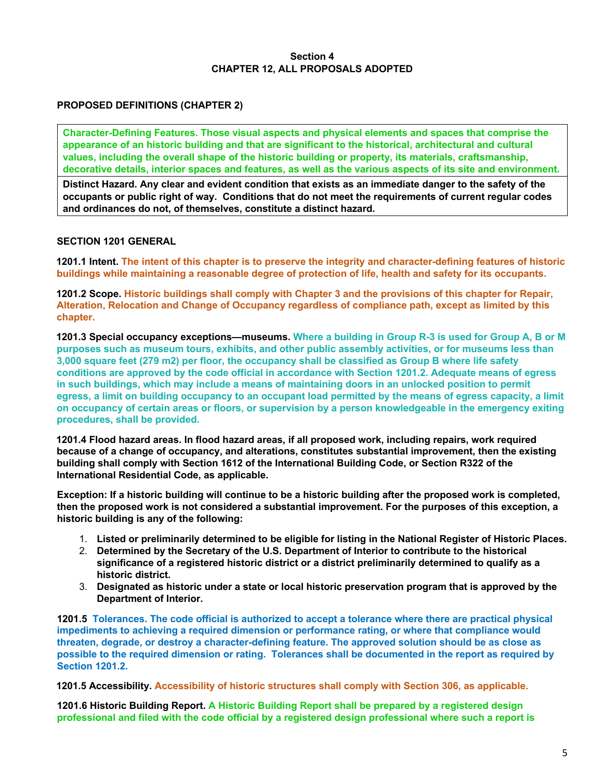#### **Section 4 CHAPTER 12, ALL PROPOSALS ADOPTED**

## **PROPOSED DEFINITIONS (CHAPTER 2)**

**Character-Defining Features. Those visual aspects and physical elements and spaces that comprise the appearance of an historic building and that are significant to the historical, architectural and cultural values, including the overall shape of the historic building or property, its materials, craftsmanship, decorative details, interior spaces and features, as well as the various aspects of its site and environment.** 

**Distinct Hazard. Any clear and evident condition that exists as an immediate danger to the safety of the occupants or public right of way. Conditions that do not meet the requirements of current regular codes and ordinances do not, of themselves, constitute a distinct hazard.** 

#### **SECTION 1201 GENERAL**

**1201.1 Intent. The intent of this chapter is to preserve the integrity and character-defining features of historic buildings while maintaining a reasonable degree of protection of life, health and safety for its occupants.** 

**1201.2 Scope. Historic buildings shall comply with Chapter 3 and the provisions of this chapter for Repair, Alteration, Relocation and Change of Occupancy regardless of compliance path, except as limited by this chapter.** 

**1201.3 Special occupancy exceptions—museums. Where a building in Group R-3 is used for Group A, B or M purposes such as museum tours, exhibits, and other public assembly activities, or for museums less than 3,000 square feet (279 m2) per floor, the occupancy shall be classified as Group B where life safety conditions are approved by the code official in accordance with Section 1201.2. Adequate means of egress in such buildings, which may include a means of maintaining doors in an unlocked position to permit egress, a limit on building occupancy to an occupant load permitted by the means of egress capacity, a limit on occupancy of certain areas or floors, or supervision by a person knowledgeable in the emergency exiting procedures, shall be provided.** 

**1201.4 Flood hazard areas. In flood hazard areas, if all proposed work, including repairs, work required because of a change of occupancy, and alterations, constitutes substantial improvement, then the existing building shall comply with Section 1612 of the International Building Code, or Section R322 of the International Residential Code, as applicable.** 

**Exception: If a historic building will continue to be a historic building after the proposed work is completed, then the proposed work is not considered a substantial improvement. For the purposes of this exception, a historic building is any of the following:** 

- 1. **Listed or preliminarily determined to be eligible for listing in the National Register of Historic Places.**
- 2. **Determined by the Secretary of the U.S. Department of Interior to contribute to the historical significance of a registered historic district or a district preliminarily determined to qualify as a historic district.**
- 3. **Designated as historic under a state or local historic preservation program that is approved by the Department of Interior.**

**1201.5 Tolerances. The code official is authorized to accept a tolerance where there are practical physical impediments to achieving a required dimension or performance rating, or where that compliance would threaten, degrade, or destroy a character-defining feature. The approved solution should be as close as possible to the required dimension or rating. Tolerances shall be documented in the report as required by Section 1201.2.** 

**1201.5 Accessibility. Accessibility of historic structures shall comply with Section 306, as applicable.** 

**1201.6 Historic Building Report. A Historic Building Report shall be prepared by a registered design professional and filed with the code official by a registered design professional where such a report is**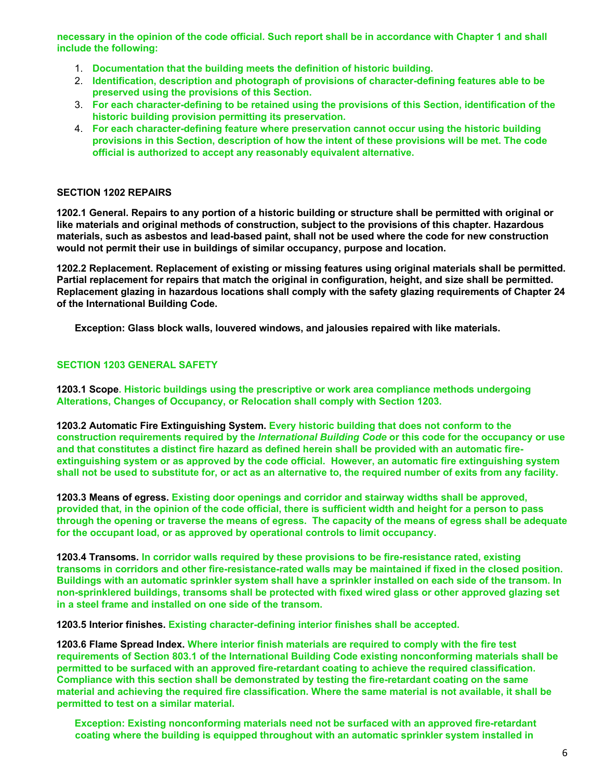**necessary in the opinion of the code official. Such report shall be in accordance with Chapter 1 and shall include the following:** 

- 1. **Documentation that the building meets the definition of historic building.**
- 2. **Identification, description and photograph of provisions of character-defining features able to be preserved using the provisions of this Section.**
- 3. **For each character-defining to be retained using the provisions of this Section, identification of the historic building provision permitting its preservation.**
- 4. **For each character-defining feature where preservation cannot occur using the historic building provisions in this Section, description of how the intent of these provisions will be met. The code official is authorized to accept any reasonably equivalent alternative.**

#### **SECTION 1202 REPAIRS**

**1202.1 General. Repairs to any portion of a historic building or structure shall be permitted with original or like materials and original methods of construction, subject to the provisions of this chapter. Hazardous materials, such as asbestos and lead-based paint, shall not be used where the code for new construction would not permit their use in buildings of similar occupancy, purpose and location.** 

**1202.2 Replacement. Replacement of existing or missing features using original materials shall be permitted. Partial replacement for repairs that match the original in configuration, height, and size shall be permitted. Replacement glazing in hazardous locations shall comply with the safety glazing requirements of Chapter 24 of the International Building Code.** 

**Exception: Glass block walls, louvered windows, and jalousies repaired with like materials.** 

#### **SECTION 1203 GENERAL SAFETY**

**1203.1 Scope. Historic buildings using the prescriptive or work area compliance methods undergoing Alterations, Changes of Occupancy, or Relocation shall comply with Section 1203.** 

**1203.2 Automatic Fire Extinguishing System. Every historic building that does not conform to the construction requirements required by the** *International Building Code* **or this code for the occupancy or use and that constitutes a distinct fire hazard as defined herein shall be provided with an automatic fireextinguishing system or as approved by the code official. However, an automatic fire extinguishing system shall not be used to substitute for, or act as an alternative to, the required number of exits from any facility.** 

**1203.3 Means of egress. Existing door openings and corridor and stairway widths shall be approved, provided that, in the opinion of the code official, there is sufficient width and height for a person to pass through the opening or traverse the means of egress. The capacity of the means of egress shall be adequate for the occupant load, or as approved by operational controls to limit occupancy.** 

**1203.4 Transoms. In corridor walls required by these provisions to be fire-resistance rated, existing transoms in corridors and other fire-resistance-rated walls may be maintained if fixed in the closed position. Buildings with an automatic sprinkler system shall have a sprinkler installed on each side of the transom. In non-sprinklered buildings, transoms shall be protected with fixed wired glass or other approved glazing set in a steel frame and installed on one side of the transom.** 

**1203.5 Interior finishes. Existing character-defining interior finishes shall be accepted.** 

**1203.6 Flame Spread Index. Where interior finish materials are required to comply with the fire test requirements of Section 803.1 of the International Building Code existing nonconforming materials shall be permitted to be surfaced with an approved fire-retardant coating to achieve the required classification. Compliance with this section shall be demonstrated by testing the fire-retardant coating on the same material and achieving the required fire classification. Where the same material is not available, it shall be permitted to test on a similar material.** 

**Exception: Existing nonconforming materials need not be surfaced with an approved fire-retardant coating where the building is equipped throughout with an automatic sprinkler system installed in**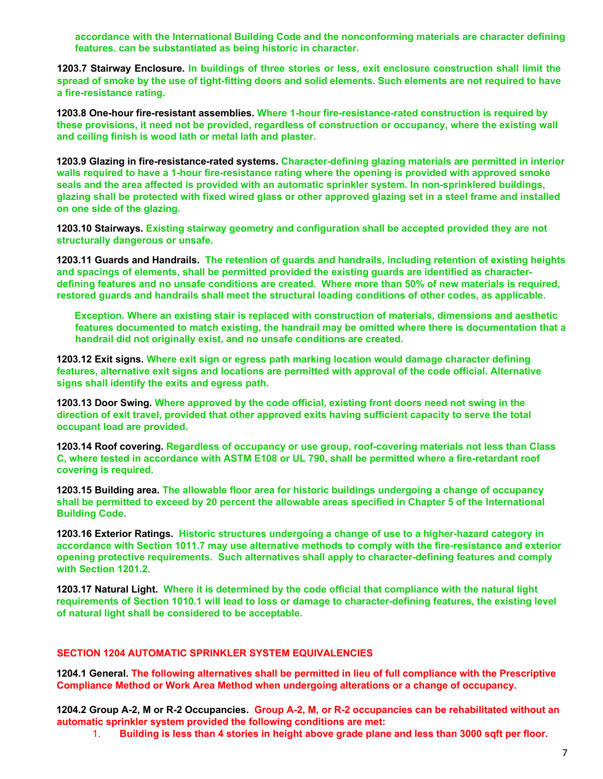**accordance with the International Building Code and the nonconforming materials are character defining features. can be substantiated as being historic in character.** 

**1203.7 Stairway Enclosure. In buildings of three stories or less, exit enclosure construction shall limit the spread of smoke by the use of tight-fitting doors and solid elements. Such elements are not required to have a fire-resistance rating.** 

**1203.8 One-hour fire-resistant assemblies. Where 1-hour fire-resistance-rated construction is required by these provisions, it need not be provided, regardless of construction or occupancy, where the existing wall and ceiling finish is wood lath or metal lath and plaster.** 

**1203.9 Glazing in fire-resistance-rated systems. Character-defining glazing materials are permitted in interior walls required to have a 1-hour fire-resistance rating where the opening is provided with approved smoke seals and the area affected is provided with an automatic sprinkler system. In non-sprinklered buildings, glazing shall be protected with fixed wired glass or other approved glazing set in a steel frame and installed on one side of the glazing.** 

**1203.10 Stairways. Existing stairway geometry and configuration shall be accepted provided they are not structurally dangerous or unsafe.** 

**1203.11 Guards and Handrails. The retention of guards and handrails, including retention of existing heights and spacings of elements, shall be permitted provided the existing guards are identified as characterdefining features and no unsafe conditions are created. Where more than 50% of new materials is required, restored guards and handrails shall meet the structural loading conditions of other codes, as applicable.** 

**Exception. Where an existing stair is replaced with construction of materials, dimensions and aesthetic features documented to match existing, the handrail may be omitted where there is documentation that a handrail did not originally exist, and no unsafe conditions are created.** 

**1203.12 Exit signs. Where exit sign or egress path marking location would damage character defining features, alternative exit signs and locations are permitted with approval of the code official. Alternative signs shall identify the exits and egress path.** 

**1203.13 Door Swing. Where approved by the code official, existing front doors need not swing in the direction of exit travel, provided that other approved exits having sufficient capacity to serve the total occupant load are provided.** 

**1203.14 Roof covering. Regardless of occupancy or use group, roof-covering materials not less than Class C, where tested in accordance with ASTM E108 or UL 790, shall be permitted where a fire-retardant roof covering is required.** 

**1203.15 Building area. The allowable floor area for historic buildings undergoing a change of occupancy shall be permitted to exceed by 20 percent the allowable areas specified in Chapter 5 of the International Building Code.** 

**1203.16 Exterior Ratings. Historic structures undergoing a change of use to a higher-hazard category in accordance with Section 1011.7 may use alternative methods to comply with the fire-resistance and exterior opening protective requirements. Such alternatives shall apply to character-defining features and comply with Section 1201.2.** 

**1203.17 Natural Light. Where it is determined by the code official that compliance with the natural light requirements of Section 1010.1 will lead to loss or damage to character-defining features, the existing level of natural light shall be considered to be acceptable.** 

#### **SECTION 1204 AUTOMATIC SPRINKLER SYSTEM EQUIVALENCIES**

**1204.1 General. The following alternatives shall be permitted in lieu of full compliance with the Prescriptive Compliance Method or Work Area Method when undergoing alterations or a change of occupancy.**

**1204.2 Group A-2, M or R-2 Occupancies. Group A-2, M, or R-2 occupancies can be rehabilitated without an automatic sprinkler system provided the following conditions are met:** 

1. **Building is less than 4 stories in height above grade plane and less than 3000 sqft per floor.**